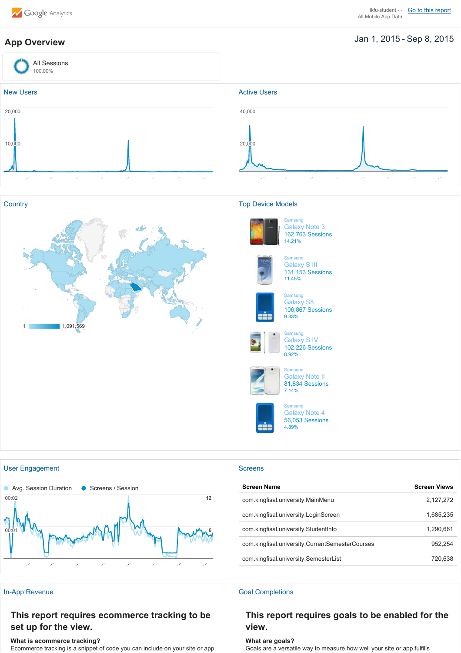# Jan 1, 2015 Sep 8, 2015 **App Overview**









# Samsung Galaxy Note 3 162,763 Sessions 14.21%



### Samsung Galaxy S III 131,153 Sessions 11.45%



# Samsung Galaxy S5



# 106,867 Sessions 9.33% **Samsung**



### Galaxy S IV 102,226 Sessions 8.92%



Galaxy Note II 81,834 Sessions 7.14% Samsung

Samsung

Galaxy Note 4 56,053 Sessions 4.89%



| <b>Screen Name</b>                              | <b>Screen Views</b> |
|-------------------------------------------------|---------------------|
| com kingfisal university MainMenu               | 2,127,272           |
| com kingfisal university LoginScreen            | 1,685,235           |
| com.kingfisal.university.StudentInfo            | 1.290.661           |
| com.kingfisal.university.CurrentSemesterCourses | 952.254             |
| com.kingfisal.university.SemesterList           | 720.638             |

## In-App Revenue Goal Completions

# **This report requires goals to be enabled for the view.**

## **What is ecommerce tracking?**

**set up for the view.**

Ecommerce tracking is a snippet of code you can include on your site or app

**This report requires ecommerce tracking to be**

**What are goals?** Goals are a versatile way to measure how well your site or app fulfills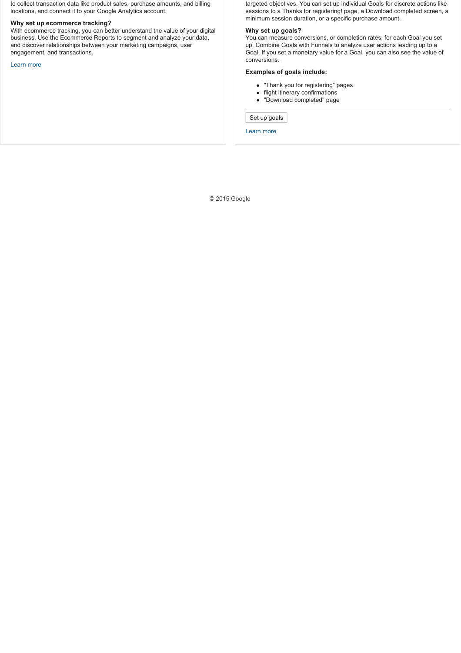to collect transaction data like product sales, purchase amounts, and billing locations, and connect it to your Google Analytics account.

### **Why set up ecommerce tracking?**

With ecommerce tracking, you can better understand the value of your digital business. Use the Ecommerce Reports to segment and analyze your data, and discover relationships between your marketing campaigns, user engagement, and transactions.

Learn more

targeted objectives. You can set up individual Goals for discrete actions like sessions to a Thanks for registering! page, a Download completed screen, a minimum session duration, or a specific purchase amount.

## **Why set up goals?**

You can measure conversions, or completion rates, for each Goal you set up. Combine Goals with Funnels to analyze user actions leading up to a Goal. If you set a monetary value for a Goal, you can also see the value of conversions.

### **Examples of goals include:**

- "Thank you for registering" pages
- flight itinerary confirmations
- "Download completed" page

Set up goals

Learn more

© 2015 Google